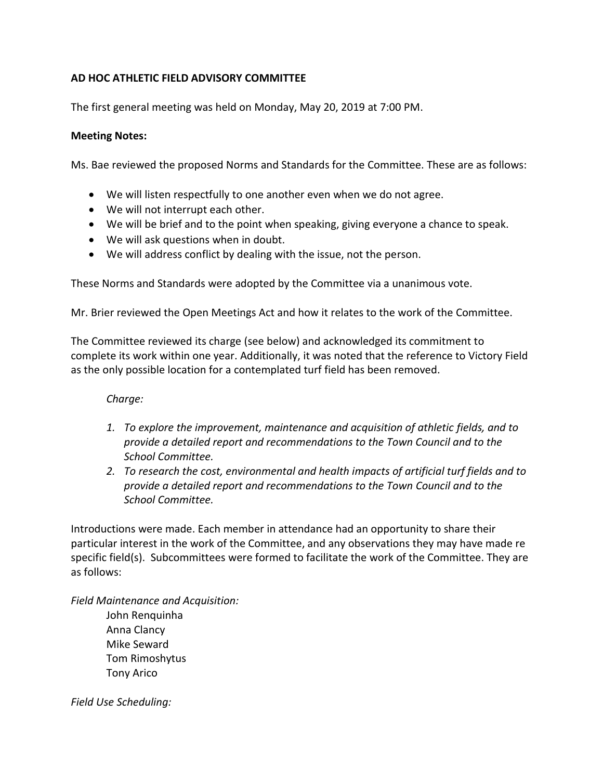## **AD HOC ATHLETIC FIELD ADVISORY COMMITTEE**

The first general meeting was held on Monday, May 20, 2019 at 7:00 PM.

## **Meeting Notes:**

Ms. Bae reviewed the proposed Norms and Standards for the Committee. These are as follows:

- We will listen respectfully to one another even when we do not agree.
- We will not interrupt each other.
- We will be brief and to the point when speaking, giving everyone a chance to speak.
- We will ask questions when in doubt.
- We will address conflict by dealing with the issue, not the person.

These Norms and Standards were adopted by the Committee via a unanimous vote.

Mr. Brier reviewed the Open Meetings Act and how it relates to the work of the Committee.

The Committee reviewed its charge (see below) and acknowledged its commitment to complete its work within one year. Additionally, it was noted that the reference to Victory Field as the only possible location for a contemplated turf field has been removed.

*Charge:*

- *1. To explore the improvement, maintenance and acquisition of athletic fields, and to provide a detailed report and recommendations to the Town Council and to the School Committee.*
- *2. To research the cost, environmental and health impacts of artificial turf fields and to provide a detailed report and recommendations to the Town Council and to the School Committee.*

Introductions were made. Each member in attendance had an opportunity to share their particular interest in the work of the Committee, and any observations they may have made re specific field(s). Subcommittees were formed to facilitate the work of the Committee. They are as follows:

*Field Maintenance and Acquisition:* John Renquinha Anna Clancy Mike Seward Tom Rimoshytus Tony Arico

*Field Use Scheduling:*